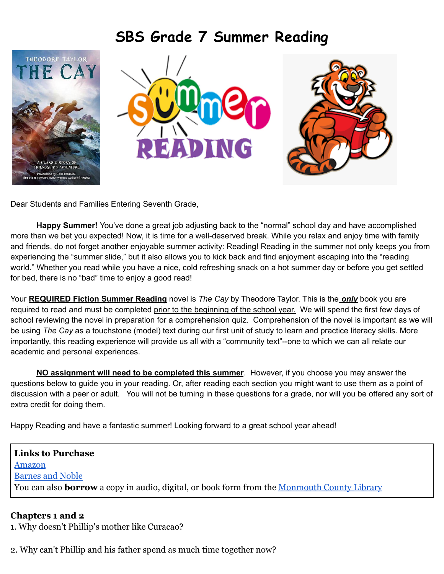



Dear Students and Families Entering Seventh Grade,

**Happy Summer!** You've done a great job adjusting back to the "normal" school day and have accomplished more than we bet you expected! Now, it is time for a well-deserved break. While you relax and enjoy time with family and friends, do not forget another enjoyable summer activity: Reading! Reading in the summer not only keeps you from experiencing the "summer slide," but it also allows you to kick back and find enjoyment escaping into the "reading world." Whether you read while you have a nice, cold refreshing snack on a hot summer day or before you get settled for bed, there is no "bad" time to enjoy a good read!

Your **REQUIRED Fiction Summer Reading** novel is *The Cay* by Theodore Taylor. This is the *only* book you are required to read and must be completed prior to the beginning of the school year. We will spend the first few days of school reviewing the novel in preparation for a comprehension quiz. Comprehension of the novel is important as we will be using *The Cay* as a touchstone (model) text during our first unit of study to learn and practice literacy skills. More importantly, this reading experience will provide us all with a "community text"--one to which we can all relate our academic and personal experiences.

**NO assignment will need to be completed this summer**. However, if you choose you may answer the questions below to guide you in your reading. Or, after reading each section you might want to use them as a point of discussion with a peer or adult. You will not be turning in these questions for a grade, nor will you be offered any sort of extra credit for doing them.

Happy Reading and have a fantastic summer! Looking forward to a great school year ahead!

**Links to Purchase** [Amazon](https://www.amazon.com/Cay-Theodore-Taylor/dp/0440416639/ref=sr_1_1?crid=2AAQ1H9F1LMCU&keywords=the+cay+by+theodore+taylor&qid=1655079858&sprefix=the+cay+by+%2Caps%2C155&sr=8-1) [Barnes and Noble](https://www.barnesandnoble.com/w/cay-theodore-taylor/1100012137?ean=9780440416630) You can also **borrow** a copy in audio, digital, or book form from the [Monmouth County Library](https://mcls.ent.sirsi.net/client/en_US/mclweb/search/results?qu=the+cay&te=&lm=ALLBRANCHES)

## **Chapters 1 and 2**

1. Why doesn't Phillip's mother like Curacao?

2. Why can't Phillip and his father spend as much time together now?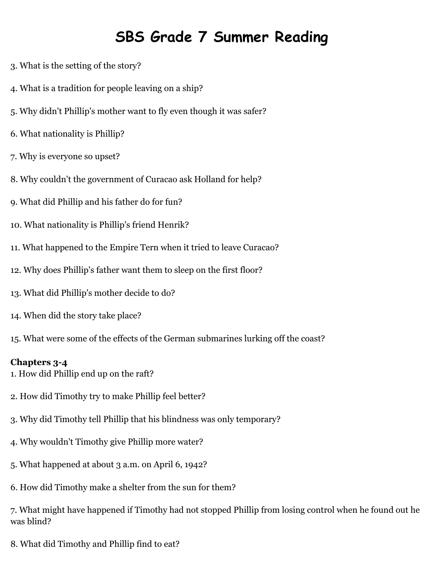- 3. What is the setting of the story?
- 4. What is a tradition for people leaving on a ship?
- 5. Why didn't Phillip's mother want to fly even though it was safer?
- 6. What nationality is Phillip?
- 7. Why is everyone so upset?
- 8. Why couldn't the government of Curacao ask Holland for help?
- 9. What did Phillip and his father do for fun?
- 10. What nationality is Phillip's friend Henrik?
- 11. What happened to the Empire Tern when it tried to leave Curacao?
- 12. Why does Phillip's father want them to sleep on the first floor?
- 13. What did Phillip's mother decide to do?
- 14. When did the story take place?
- 15. What were some of the effects of the German submarines lurking off the coast?

### **Chapters 3-4**

- 1. How did Phillip end up on the raft?
- 2. How did Timothy try to make Phillip feel better?
- 3. Why did Timothy tell Phillip that his blindness was only temporary?
- 4. Why wouldn't Timothy give Phillip more water?
- 5. What happened at about 3 a.m. on April 6, 1942?
- 6. How did Timothy make a shelter from the sun for them?

7. What might have happened if Timothy had not stopped Phillip from losing control when he found out he was blind?

8. What did Timothy and Phillip find to eat?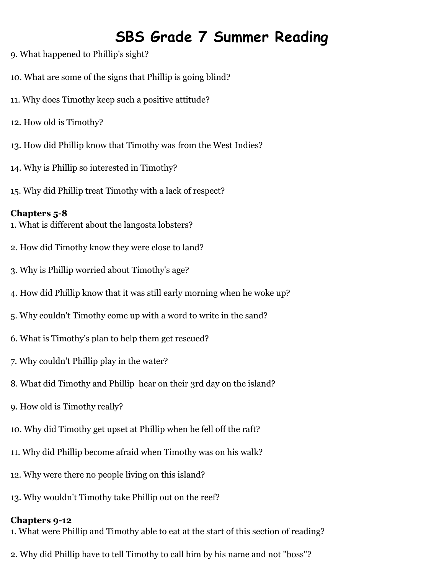- 9. What happened to Phillip's sight?
- 10. What are some of the signs that Phillip is going blind?
- 11. Why does Timothy keep such a positive attitude?
- 12. How old is Timothy?
- 13. How did Phillip know that Timothy was from the West Indies?
- 14. Why is Phillip so interested in Timothy?
- 15. Why did Phillip treat Timothy with a lack of respect?

### **Chapters 5-8**

- 1. What is different about the langosta lobsters?
- 2. How did Timothy know they were close to land?
- 3. Why is Phillip worried about Timothy's age?
- 4. How did Phillip know that it was still early morning when he woke up?
- 5. Why couldn't Timothy come up with a word to write in the sand?
- 6. What is Timothy's plan to help them get rescued?
- 7. Why couldn't Phillip play in the water?
- 8. What did Timothy and Phillip hear on their 3rd day on the island?
- 9. How old is Timothy really?
- 10. Why did Timothy get upset at Phillip when he fell off the raft?
- 11. Why did Phillip become afraid when Timothy was on his walk?
- 12. Why were there no people living on this island?
- 13. Why wouldn't Timothy take Phillip out on the reef?

## **Chapters 9-12**

- 1. What were Phillip and Timothy able to eat at the start of this section of reading?
- 2. Why did Phillip have to tell Timothy to call him by his name and not "boss"?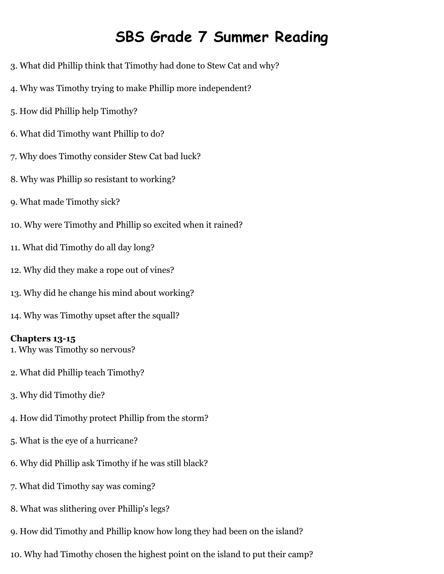- 3. What did Phillip think that Timothy had done to Stew Cat and why?
- 4. Why was Timothy trying to make Phillip more independent?
- 5. How did Phillip help Timothy?
- 6. What did Timothy want Phillip to do?
- 7. Why does Timothy consider Stew Cat bad luck?
- 8. Why was Phillip so resistant to working?
- 9. What made Timothy sick?
- 10. Why were Timothy and Phillip so excited when it rained?
- 11. What did Timothy do all day long?
- 12. Why did they make a rope out of vines?
- 13. Why did he change his mind about working?
- 14. Why was Timothy upset after the squall?

### **Chapters 13-15**

- 1. Why was Timothy so nervous?
- 2. What did Phillip teach Timothy?
- 3. Why did Timothy die?
- 4. How did Timothy protect Phillip from the storm?
- 5. What is the eye of a hurricane?
- 6. Why did Phillip ask Timothy if he was still black?
- 7. What did Timothy say was coming?
- 8. What was slithering over Phillip's legs?
- 9. How did Timothy and Phillip know how long they had been on the island?
- 10. Why had Timothy chosen the highest point on the island to put their camp?